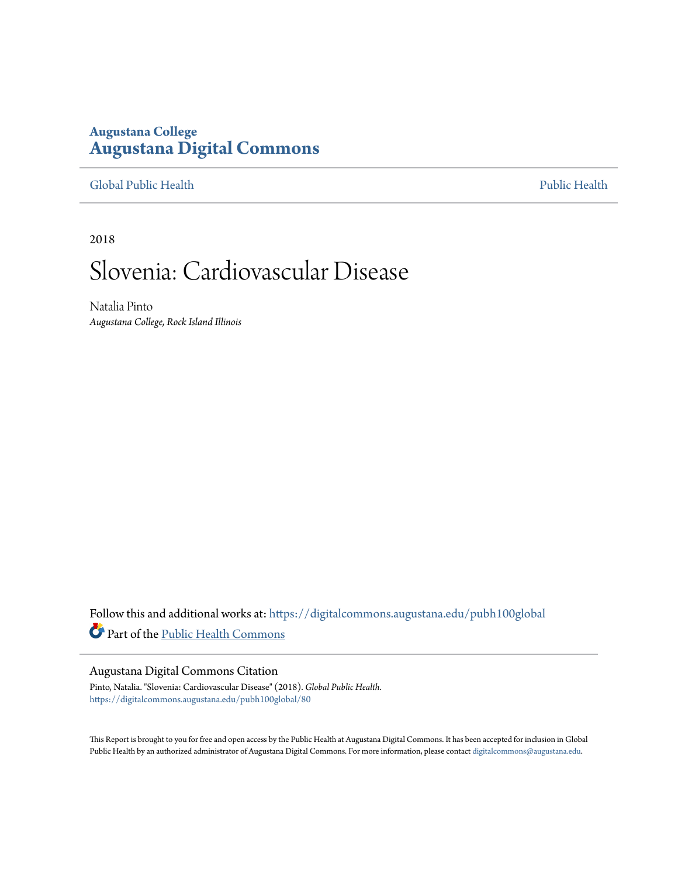# **Augustana College [Augustana Digital Commons](https://digitalcommons.augustana.edu?utm_source=digitalcommons.augustana.edu%2Fpubh100global%2F80&utm_medium=PDF&utm_campaign=PDFCoverPages)**

#### [Global Public Health](https://digitalcommons.augustana.edu/pubh100global?utm_source=digitalcommons.augustana.edu%2Fpubh100global%2F80&utm_medium=PDF&utm_campaign=PDFCoverPages) [Public Health](https://digitalcommons.augustana.edu/publichealth?utm_source=digitalcommons.augustana.edu%2Fpubh100global%2F80&utm_medium=PDF&utm_campaign=PDFCoverPages)

2018

# Slovenia: Cardiovascular Disease

Natalia Pinto *Augustana College, Rock Island Illinois*

Follow this and additional works at: [https://digitalcommons.augustana.edu/pubh100global](https://digitalcommons.augustana.edu/pubh100global?utm_source=digitalcommons.augustana.edu%2Fpubh100global%2F80&utm_medium=PDF&utm_campaign=PDFCoverPages) Part of the [Public Health Commons](http://network.bepress.com/hgg/discipline/738?utm_source=digitalcommons.augustana.edu%2Fpubh100global%2F80&utm_medium=PDF&utm_campaign=PDFCoverPages)

#### Augustana Digital Commons Citation

Pinto, Natalia. "Slovenia: Cardiovascular Disease" (2018). *Global Public Health.* [https://digitalcommons.augustana.edu/pubh100global/80](https://digitalcommons.augustana.edu/pubh100global/80?utm_source=digitalcommons.augustana.edu%2Fpubh100global%2F80&utm_medium=PDF&utm_campaign=PDFCoverPages)

This Report is brought to you for free and open access by the Public Health at Augustana Digital Commons. It has been accepted for inclusion in Global Public Health by an authorized administrator of Augustana Digital Commons. For more information, please contact [digitalcommons@augustana.edu.](mailto:digitalcommons@augustana.edu)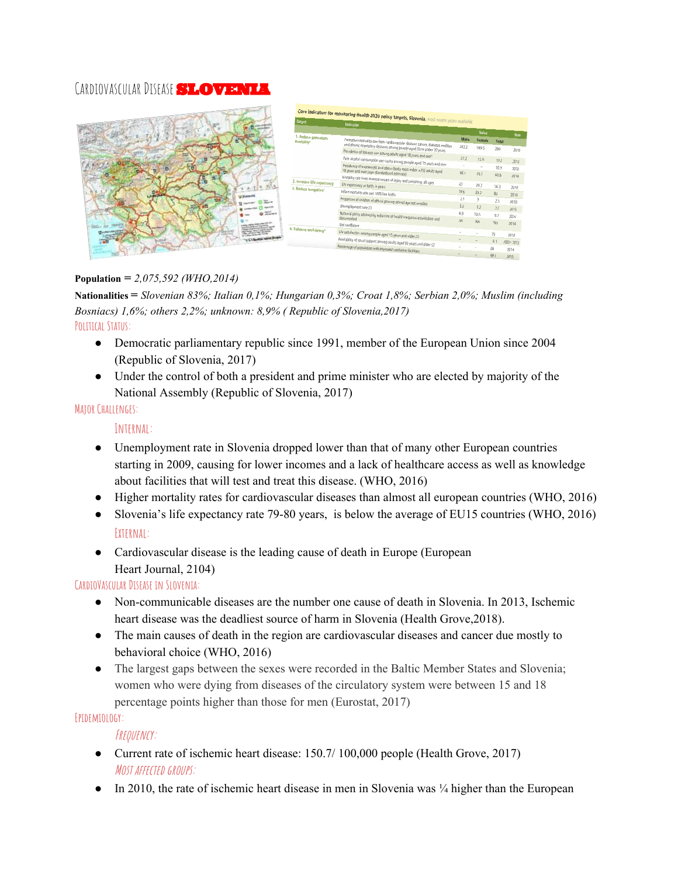## CARDIOVASCULAR DISEASE SLOVENIA



#### **Population =** *2,075,592 (WHO,2014)*

**Nationalities =** *Slovenian 83%; Italian 0,1%; Hungarian 0,3%; Croat 1,8%; Serbian 2,0%; Muslim (including Bosniacs) 1,6%; others 2,2%; unknown: 8,9% ( Republic of Slovenia,2017)* **Political Status:**

- Democratic parliamentary republic since 1991, member of the European Union since 2004 (Republic of Slovenia, 2017)
- Under the control of both a president and prime minister who are elected by majority of the National Assembly (Republic of Slovenia, 2017)

#### **Major Challenges:**

## **Internal:**

- Unemployment rate in Slovenia dropped lower than that of many other European countries starting in 2009, causing for lower incomes and a lack of healthcare access as well as knowledge about facilities that will test and treat this disease. (WHO, 2016)
- Higher mortality rates for cardiovascular diseases than almost all european countries (WHO, 2016)
- Slovenia's life expectancy rate 79-80 years, is below the average of EU15 countries (WHO, 2016) **External:**
- Cardiovascular disease is the leading cause of death in Europe (European Heart Journal, 2104)

## **CardioVascularDisease in Slovenia:**

- Non-communicable diseases are the number one cause of death in Slovenia. In 2013, Ischemic heart disease was the deadliest source of harm in Slovenia (Health Grove,2018).
- The main causes of death in the region are cardiovascular diseases and cancer due mostly to behavioral choice (WHO, 2016)
- The largest gaps between the sexes were recorded in the Baltic Member States and Slovenia; women who were dying from diseases of the circulatory system were between 15 and 18 percentage points higher than those for men (Eurostat, 2017)

#### **Epidemiology:**

## **Frequency:**

- Current rate of ischemic heart disease: 150.7/100,000 people (Health Grove, 2017) **Most affected groups:**
- $\bullet$  In 2010, the rate of ischemic heart disease in men in Slovenia was  $\frac{1}{4}$  higher than the European